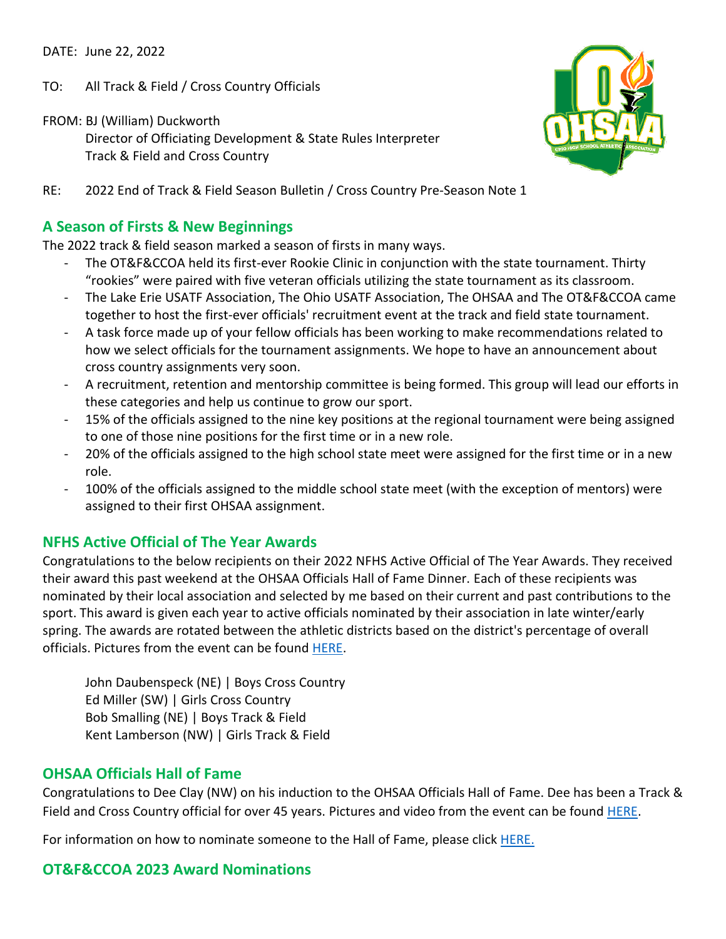DATE: June 22, 2022

- TO: All Track & Field / Cross Country Officials
- FROM: BJ (William) Duckworth Director of Officiating Development & State Rules Interpreter Track & Field and Cross Country
- RE: 2022 End of Track & Field Season Bulletin / Cross Country Pre-Season Note 1

# **A Season of Firsts & New Beginnings**

The 2022 track & field season marked a season of firsts in many ways.

- The OT&F&CCOA held its first-ever Rookie Clinic in conjunction with the state tournament. Thirty "rookies" were paired with five veteran officials utilizing the state tournament as its classroom.
- The Lake Erie USATF Association, The Ohio USATF Association, The OHSAA and The OT&F&CCOA came together to host the first-ever officials' recruitment event at the track and field state tournament.
- A task force made up of your fellow officials has been working to make recommendations related to how we select officials for the tournament assignments. We hope to have an announcement about cross country assignments very soon.
- A recruitment, retention and mentorship committee is being formed. This group will lead our efforts in these categories and help us continue to grow our sport.
- 15% of the officials assigned to the nine key positions at the regional tournament were being assigned to one of those nine positions for the first time or in a new role.
- 20% of the officials assigned to the high school state meet were assigned for the first time or in a new role.
- 100% of the officials assigned to the middle school state meet (with the exception of mentors) were assigned to their first OHSAA assignment.

# **NFHS Active Official of The Year Awards**

Congratulations to the below recipients on their 2022 NFHS Active Official of The Year Awards. They received their award this past weekend at the OHSAA Officials Hall of Fame Dinner. Each of these recipients was nominated by their local association and selected by me based on their current and past contributions to the sport. This award is given each year to active officials nominated by their association in late winter/early spring. The awards are rotated between the athletic districts based on the district's percentage of overall officials. Pictures from the event can be found [HERE.](https://drive.google.com/drive/folders/1MxWcra7FmyYQV9S5aKvNGFcRU_BlEQJo?usp=sharing)

John Daubenspeck (NE) | Boys Cross Country Ed Miller (SW) | Girls Cross Country Bob Smalling (NE) | Boys Track & Field Kent Lamberson (NW) | Girls Track & Field

# **OHSAA Officials Hall of Fame**

Congratulations to Dee Clay (NW) on his induction to the OHSAA Officials Hall of Fame. Dee has been a Track & Field and Cross Country official for over 45 years. Pictures and video from the event can be found [HERE.](https://drive.google.com/drive/folders/1MxWcra7FmyYQV9S5aKvNGFcRU_BlEQJo?usp=sharing)

For information on how to nominate someone to the Hall of Fame, please click [HERE.](https://www.ohsaa.org/Officiating/HOF)

# **OT&F&CCOA 2023 Award Nominations**

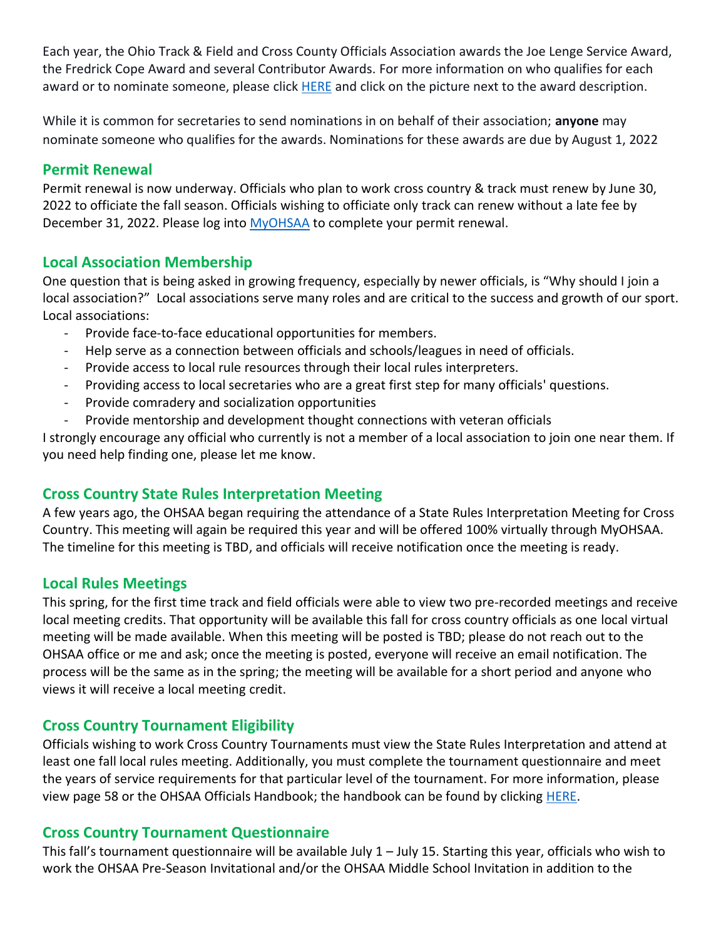Each year, the Ohio Track & Field and Cross County Officials Association awards the Joe Lenge Service Award, the Fredrick Cope Award and several Contributor Awards. For more information on who qualifies for each award or to nominate someone, please click [HERE](https://otfccoa.wixsite.com/ohiotrackofficials/forms) and click on the picture next to the award description.

While it is common for secretaries to send nominations in on behalf of their association; **anyone** may nominate someone who qualifies for the awards. Nominations for these awards are due by August 1, 2022

#### **Permit Renewal**

Permit renewal is now underway. Officials who plan to work cross country & track must renew by June 30, 2022 to officiate the fall season. Officials wishing to officiate only track can renew without a late fee by December 31, 2022. Please log int[o MyOHSAA](https://officials.myohsaa.org/Logon) to complete your permit renewal.

### **Local Association Membership**

One question that is being asked in growing frequency, especially by newer officials, is "Why should I join a local association?" Local associations serve many roles and are critical to the success and growth of our sport. Local associations:

- Provide face-to-face educational opportunities for members.
- Help serve as a connection between officials and schools/leagues in need of officials.
- Provide access to local rule resources through their local rules interpreters.
- Providing access to local secretaries who are a great first step for many officials' questions.
- Provide comradery and socialization opportunities
- Provide mentorship and development thought connections with veteran officials

I strongly encourage any official who currently is not a member of a local association to join one near them. If you need help finding one, please let me know.

# **Cross Country State Rules Interpretation Meeting**

A few years ago, the OHSAA began requiring the attendance of a State Rules Interpretation Meeting for Cross Country. This meeting will again be required this year and will be offered 100% virtually through MyOHSAA. The timeline for this meeting is TBD, and officials will receive notification once the meeting is ready.

### **Local Rules Meetings**

This spring, for the first time track and field officials were able to view two pre-recorded meetings and receive local meeting credits. That opportunity will be available this fall for cross country officials as one local virtual meeting will be made available. When this meeting will be posted is TBD; please do not reach out to the OHSAA office or me and ask; once the meeting is posted, everyone will receive an email notification. The process will be the same as in the spring; the meeting will be available for a short period and anyone who views it will receive a local meeting credit.

### **Cross Country Tournament Eligibility**

Officials wishing to work Cross Country Tournaments must view the State Rules Interpretation and attend at least one fall local rules meeting. Additionally, you must complete the tournament questionnaire and meet the years of service requirements for that particular level of the tournament. For more information, please view page 58 or the OHSAA Officials Handbook; the handbook can be found by clicking [HERE.](https://www.ohsaa.org/Officiating)

### **Cross Country Tournament Questionnaire**

This fall's tournament questionnaire will be available July  $1 -$  July 15. Starting this year, officials who wish to work the OHSAA Pre-Season Invitational and/or the OHSAA Middle School Invitation in addition to the